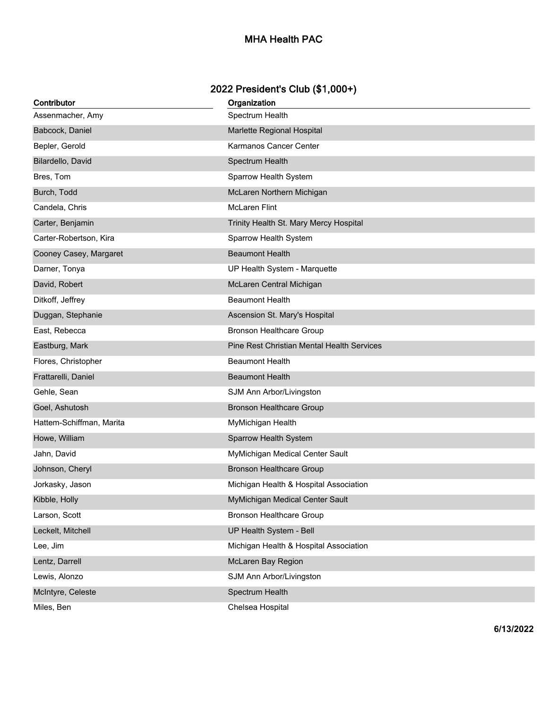## **MHA Health PAC**

## **2022 President's Club (\$1,000+)**

| Contributor              | Organization                               |
|--------------------------|--------------------------------------------|
| Assenmacher, Amy         | Spectrum Health                            |
| Babcock, Daniel          | Marlette Regional Hospital                 |
| Bepler, Gerold           | Karmanos Cancer Center                     |
| Bilardello, David        | Spectrum Health                            |
| Bres, Tom                | Sparrow Health System                      |
| Burch, Todd              | McLaren Northern Michigan                  |
| Candela, Chris           | <b>McLaren Flint</b>                       |
| Carter, Benjamin         | Trinity Health St. Mary Mercy Hospital     |
| Carter-Robertson, Kira   | Sparrow Health System                      |
| Cooney Casey, Margaret   | <b>Beaumont Health</b>                     |
| Darner, Tonya            | UP Health System - Marquette               |
| David, Robert            | McLaren Central Michigan                   |
| Ditkoff, Jeffrey         | <b>Beaumont Health</b>                     |
| Duggan, Stephanie        | Ascension St. Mary's Hospital              |
| East, Rebecca            | <b>Bronson Healthcare Group</b>            |
| Eastburg, Mark           | Pine Rest Christian Mental Health Services |
| Flores, Christopher      | <b>Beaumont Health</b>                     |
| Frattarelli, Daniel      | <b>Beaumont Health</b>                     |
| Gehle, Sean              | SJM Ann Arbor/Livingston                   |
| Goel, Ashutosh           | <b>Bronson Healthcare Group</b>            |
| Hattem-Schiffman, Marita | MyMichigan Health                          |
| Howe, William            | Sparrow Health System                      |
| Jahn, David              | MyMichigan Medical Center Sault            |
| Johnson, Cheryl          | <b>Bronson Healthcare Group</b>            |
| Jorkasky, Jason          | Michigan Health & Hospital Association     |
| Kibble, Holly            | MyMichigan Medical Center Sault            |
| Larson, Scott            | <b>Bronson Healthcare Group</b>            |
| Leckelt, Mitchell        | UP Health System - Bell                    |
| Lee, Jim                 | Michigan Health & Hospital Association     |
| Lentz, Darrell           | McLaren Bay Region                         |
| Lewis, Alonzo            | SJM Ann Arbor/Livingston                   |
| McIntyre, Celeste        | Spectrum Health                            |
| Miles, Ben               | Chelsea Hospital                           |